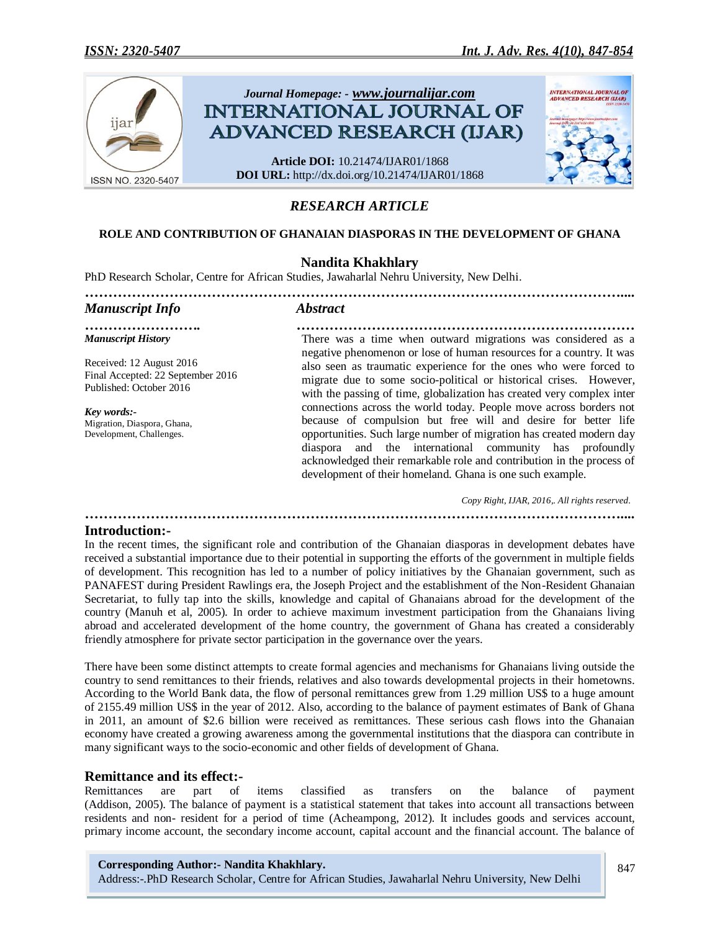

# *RESEARCH ARTICLE*

### **ROLE AND CONTRIBUTION OF GHANAIAN DIASPORAS IN THE DEVELOPMENT OF GHANA**

## **Nandita Khakhlary**

PhD Research Scholar, Centre for African Studies, Jawaharlal Nehru University, New Delhi.

| <b>Manuscript Info</b>                                                                   | <b>Abstract</b>                                                                                                                                                                                                                                                                                                                                                                                                                                                                                                                                                                                                                                                                                            |
|------------------------------------------------------------------------------------------|------------------------------------------------------------------------------------------------------------------------------------------------------------------------------------------------------------------------------------------------------------------------------------------------------------------------------------------------------------------------------------------------------------------------------------------------------------------------------------------------------------------------------------------------------------------------------------------------------------------------------------------------------------------------------------------------------------|
| <b>Manuscript History</b>                                                                | There was a time when outward migrations was considered as a                                                                                                                                                                                                                                                                                                                                                                                                                                                                                                                                                                                                                                               |
| Received: 12 August 2016<br>Final Accepted: 22 September 2016<br>Published: October 2016 | negative phenomenon or lose of human resources for a country. It was<br>also seen as traumatic experience for the ones who were forced to<br>migrate due to some socio-political or historical crises. However,<br>with the passing of time, globalization has created very complex inter<br>connections across the world today. People move across borders not<br>because of compulsion but free will and desire for better life<br>opportunities. Such large number of migration has created modern day<br>diaspora and the international community has profoundly<br>acknowledged their remarkable role and contribution in the process of<br>development of their homeland. Ghana is one such example. |
| Key words:-<br>Migration, Diaspora, Ghana,<br>Development, Challenges.                   |                                                                                                                                                                                                                                                                                                                                                                                                                                                                                                                                                                                                                                                                                                            |

 *Copy Right, IJAR, 2016,. All rights reserved. ……………………………………………………………………………………………………....*

### **Introduction:-**

In the recent times, the significant role and contribution of the Ghanaian diasporas in development debates have received a substantial importance due to their potential in supporting the efforts of the government in multiple fields of development. This recognition has led to a number of policy initiatives by the Ghanaian government, such as PANAFEST during President Rawlings era, the Joseph Project and the establishment of the Non-Resident Ghanaian Secretariat, to fully tap into the skills, knowledge and capital of Ghanaians abroad for the development of the country (Manuh et al, 2005). In order to achieve maximum investment participation from the Ghanaians living abroad and accelerated development of the home country, the government of Ghana has created a considerably friendly atmosphere for private sector participation in the governance over the years.

There have been some distinct attempts to create formal agencies and mechanisms for Ghanaians living outside the country to send remittances to their friends, relatives and also towards developmental projects in their hometowns. According to the World Bank data, the flow of personal remittances grew from 1.29 million US\$ to a huge amount of 2155.49 million US\$ in the year of 2012. Also, according to the balance of payment estimates of Bank of Ghana in 2011, an amount of \$2.6 billion were received as remittances. These serious cash flows into the Ghanaian economy have created a growing awareness among the governmental institutions that the diaspora can contribute in many significant ways to the socio-economic and other fields of development of Ghana.

### **Remittance and its effect:-**

Remittances are part of items classified as transfers on the balance of payment (Addison, 2005). The balance of payment is a statistical statement that takes into account all transactions between residents and non- resident for a period of time (Acheampong, 2012). It includes goods and services account, primary income account, the secondary income account, capital account and the financial account. The balance of

#### **Corresponding Author:- Nandita Khakhlary.**

Address:-.PhD Research Scholar, Centre for African Studies, Jawaharlal Nehru University, New Delhi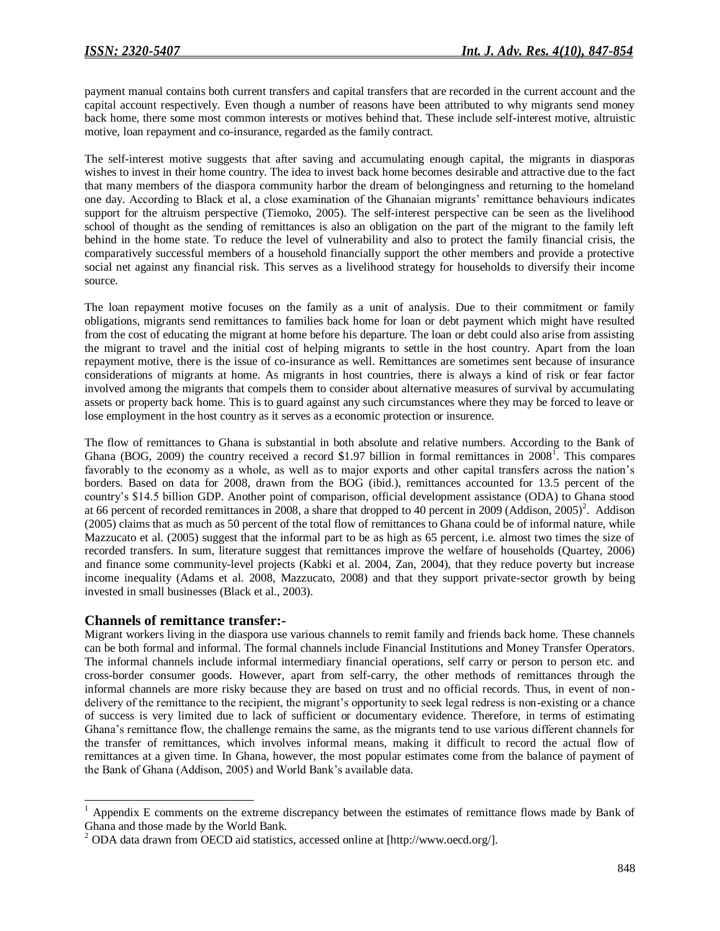payment manual contains both current transfers and capital transfers that are recorded in the current account and the capital account respectively. Even though a number of reasons have been attributed to why migrants send money back home, there some most common interests or motives behind that. These include self-interest motive, altruistic motive, loan repayment and co-insurance, regarded as the family contract.

The self-interest motive suggests that after saving and accumulating enough capital, the migrants in diasporas wishes to invest in their home country. The idea to invest back home becomes desirable and attractive due to the fact that many members of the diaspora community harbor the dream of belongingness and returning to the homeland one day. According to Black et al, a close examination of the Ghanaian migrants' remittance behaviours indicates support for the altruism perspective (Tiemoko, 2005). The self-interest perspective can be seen as the livelihood school of thought as the sending of remittances is also an obligation on the part of the migrant to the family left behind in the home state. To reduce the level of vulnerability and also to protect the family financial crisis, the comparatively successful members of a household financially support the other members and provide a protective social net against any financial risk. This serves as a livelihood strategy for households to diversify their income source.

The loan repayment motive focuses on the family as a unit of analysis. Due to their commitment or family obligations, migrants send remittances to families back home for loan or debt payment which might have resulted from the cost of educating the migrant at home before his departure. The loan or debt could also arise from assisting the migrant to travel and the initial cost of helping migrants to settle in the host country. Apart from the loan repayment motive, there is the issue of co-insurance as well. Remittances are sometimes sent because of insurance considerations of migrants at home. As migrants in host countries, there is always a kind of risk or fear factor involved among the migrants that compels them to consider about alternative measures of survival by accumulating assets or property back home. This is to guard against any such circumstances where they may be forced to leave or lose employment in the host country as it serves as a economic protection or insurence.

The flow of remittances to Ghana is substantial in both absolute and relative numbers. According to the Bank of Ghana (BOG, 2009) the country received a record \$1.97 billion in formal remittances in  $2008^{\circ}$ . This compares favorably to the economy as a whole, as well as to major exports and other capital transfers across the nation's borders. Based on data for 2008, drawn from the BOG (ibid.), remittances accounted for 13.5 percent of the country's \$14.5 billion GDP. Another point of comparison, official development assistance (ODA) to Ghana stood at 66 percent of recorded remittances in 2008, a share that dropped to 40 percent in 2009 (Addison, 2005)<sup>2</sup>. Addison (2005) claims that as much as 50 percent of the total flow of remittances to Ghana could be of informal nature, while Mazzucato et al. (2005) suggest that the informal part to be as high as 65 percent, i.e. almost two times the size of recorded transfers. In sum, literature suggest that remittances improve the welfare of households (Quartey, 2006) and finance some community-level projects (Kabki et al. 2004, Zan, 2004), that they reduce poverty but increase income inequality (Adams et al. 2008, Mazzucato, 2008) and that they support private-sector growth by being invested in small businesses (Black et al., 2003).

## **Channels of remittance transfer:-**

 $\overline{\phantom{a}}$ 

Migrant workers living in the diaspora use various channels to remit family and friends back home. These channels can be both formal and informal. The formal channels include Financial Institutions and Money Transfer Operators. The informal channels include informal intermediary financial operations, self carry or person to person etc. and cross-border consumer goods. However, apart from self-carry, the other methods of remittances through the informal channels are more risky because they are based on trust and no official records. Thus, in event of nondelivery of the remittance to the recipient, the migrant's opportunity to seek legal redress is non-existing or a chance of success is very limited due to lack of sufficient or documentary evidence. Therefore, in terms of estimating Ghana's remittance flow, the challenge remains the same, as the migrants tend to use various different channels for the transfer of remittances, which involves informal means, making it difficult to record the actual flow of remittances at a given time. In Ghana, however, the most popular estimates come from the balance of payment of the Bank of Ghana (Addison, 2005) and World Bank's available data.

Appendix E comments on the extreme discrepancy between the estimates of remittance flows made by Bank of Ghana and those made by the World Bank.

<sup>2</sup> ODA data drawn from OECD aid statistics, accessed online at [http://www.oecd.org/].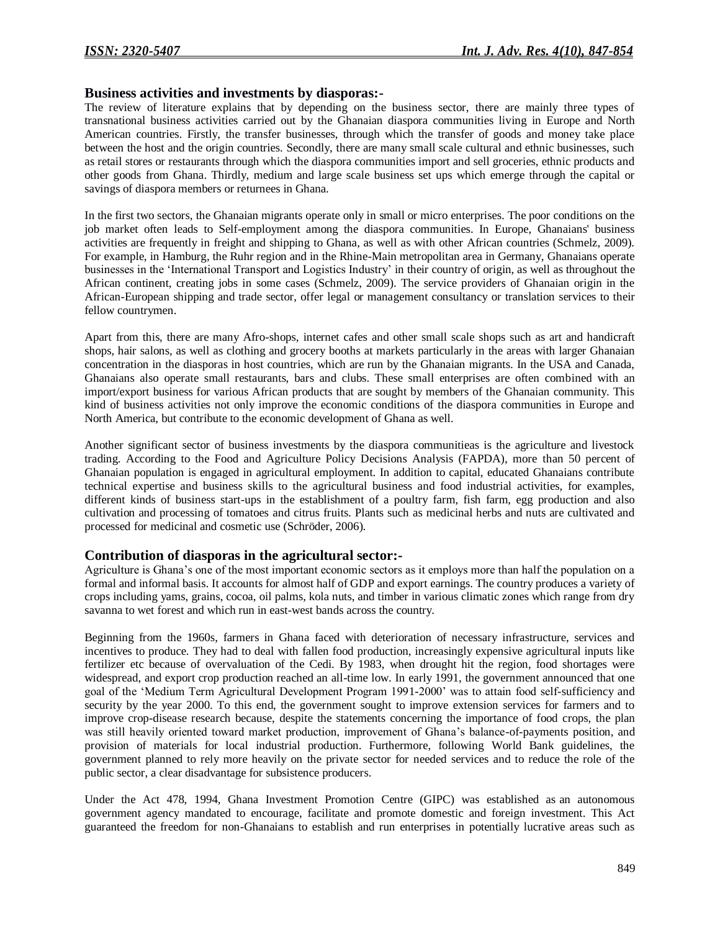### **Business activities and investments by diasporas:-**

The review of literature explains that by depending on the business sector, there are mainly three types of transnational business activities carried out by the Ghanaian diaspora communities living in Europe and North American countries. Firstly, the transfer businesses, through which the transfer of goods and money take place between the host and the origin countries. Secondly, there are many small scale cultural and ethnic businesses, such as retail stores or restaurants through which the diaspora communities import and sell groceries, ethnic products and other goods from Ghana. Thirdly, medium and large scale business set ups which emerge through the capital or savings of diaspora members or returnees in Ghana.

In the first two sectors, the Ghanaian migrants operate only in small or micro enterprises. The poor conditions on the job market often leads to Self-employment among the diaspora communities. In Europe, Ghanaians' business activities are frequently in freight and shipping to Ghana, as well as with other African countries (Schmelz, 2009). For example, in Hamburg, the Ruhr region and in the Rhine-Main metropolitan area in Germany, Ghanaians operate businesses in the 'International Transport and Logistics Industry' in their country of origin, as well as throughout the African continent, creating jobs in some cases (Schmelz, 2009). The service providers of Ghanaian origin in the African-European shipping and trade sector, offer legal or management consultancy or translation services to their fellow countrymen.

Apart from this, there are many Afro-shops, internet cafes and other small scale shops such as art and handicraft shops, hair salons, as well as clothing and grocery booths at markets particularly in the areas with larger Ghanaian concentration in the diasporas in host countries, which are run by the Ghanaian migrants. In the USA and Canada, Ghanaians also operate small restaurants, bars and clubs. These small enterprises are often combined with an import/export business for various African products that are sought by members of the Ghanaian community. This kind of business activities not only improve the economic conditions of the diaspora communities in Europe and North America, but contribute to the economic development of Ghana as well.

Another significant sector of business investments by the diaspora communitieas is the agriculture and livestock trading. According to the Food and Agriculture Policy Decisions Analysis (FAPDA), more than 50 percent of Ghanaian population is engaged in agricultural employment. In addition to capital, educated Ghanaians contribute technical expertise and business skills to the agricultural business and food industrial activities, for examples, different kinds of business start-ups in the establishment of a poultry farm, fish farm, egg production and also cultivation and processing of tomatoes and citrus fruits. Plants such as medicinal herbs and nuts are cultivated and processed for medicinal and cosmetic use (Schröder, 2006).

## **Contribution of diasporas in the agricultural sector:-**

Agriculture is Ghana's one of the most important economic sectors as it employs more than half the population on a formal and informal basis. It accounts for almost half of GDP and export earnings. The country produces a variety of crops including yams, grains, cocoa, oil palms, kola nuts, and timber in various climatic zones which range from dry savanna to wet forest and which run in east-west bands across the country.

Beginning from the 1960s, farmers in Ghana faced with deterioration of necessary infrastructure, services and incentives to produce. They had to deal with fallen food production, increasingly expensive agricultural inputs like fertilizer etc because of overvaluation of the Cedi. By 1983, when drought hit the region, food shortages were widespread, and export crop production reached an all-time low. In early 1991, the government announced that one goal of the 'Medium Term Agricultural Development Program 1991-2000' was to attain food self-sufficiency and security by the year 2000. To this end, the government sought to improve extension services for farmers and to improve crop-disease research because, despite the statements concerning the importance of food crops, the plan was still heavily oriented toward market production, improvement of Ghana's balance-of-payments position, and provision of materials for local industrial production. Furthermore, following World Bank guidelines, the government planned to rely more heavily on the private sector for needed services and to reduce the role of the public sector, a clear disadvantage for subsistence producers.

Under the Act 478, 1994, Ghana Investment Promotion Centre (GIPC) was established as an autonomous government agency mandated to encourage, facilitate and promote domestic and foreign investment. This Act guaranteed the freedom for non-Ghanaians to establish and run enterprises in potentially lucrative areas such as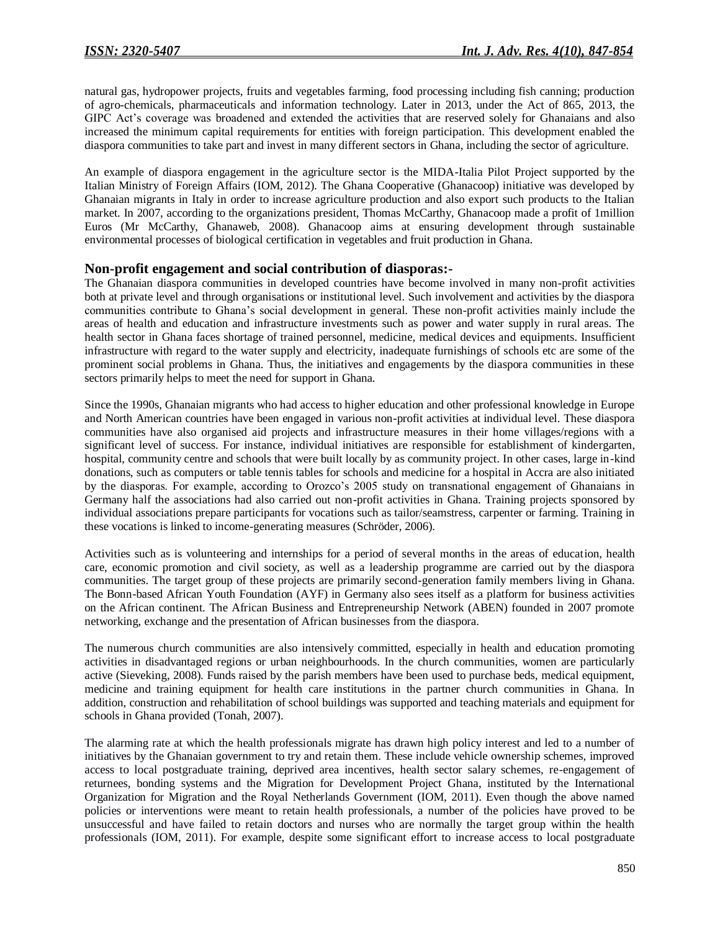natural gas, hydropower projects, fruits and vegetables farming, food processing including fish canning; production of agro-chemicals, pharmaceuticals and information technology. Later in 2013, under the Act of 865, 2013, the GIPC Act's coverage was broadened and extended the activities that are reserved solely for Ghanaians and also increased the minimum capital requirements for entities with foreign participation. This development enabled the diaspora communities to take part and invest in many different sectors in Ghana, including the sector of agriculture.

An example of diaspora engagement in the agriculture sector is the MIDA-Italia Pilot Project supported by the Italian Ministry of Foreign Affairs (IOM, 2012). The Ghana Cooperative (Ghanacoop) initiative was developed by Ghanaian migrants in Italy in order to increase agriculture production and also export such products to the Italian market. In 2007, according to the organizations president, Thomas McCarthy, Ghanacoop made a profit of 1million Euros (Mr McCarthy, Ghanaweb, 2008). Ghanacoop aims at ensuring development through sustainable environmental processes of biological certification in vegetables and fruit production in Ghana.

### **Non-profit engagement and social contribution of diasporas:-**

The Ghanaian diaspora communities in developed countries have become involved in many non-profit activities both at private level and through organisations or institutional level. Such involvement and activities by the diaspora communities contribute to Ghana's social development in general. These non-profit activities mainly include the areas of health and education and infrastructure investments such as power and water supply in rural areas. The health sector in Ghana faces shortage of trained personnel, medicine, medical devices and equipments. Insufficient infrastructure with regard to the water supply and electricity, inadequate furnishings of schools etc are some of the prominent social problems in Ghana. Thus, the initiatives and engagements by the diaspora communities in these sectors primarily helps to meet the need for support in Ghana.

Since the 1990s, Ghanaian migrants who had access to higher education and other professional knowledge in Europe and North American countries have been engaged in various non-profit activities at individual level. These diaspora communities have also organised aid projects and infrastructure measures in their home villages/regions with a significant level of success. For instance, individual initiatives are responsible for establishment of kindergarten, hospital, community centre and schools that were built locally by as community project. In other cases, large in-kind donations, such as computers or table tennis tables for schools and medicine for a hospital in Accra are also initiated by the diasporas. For example, according to Orozco's 2005 study on transnational engagement of Ghanaians in Germany half the associations had also carried out non-profit activities in Ghana. Training projects sponsored by individual associations prepare participants for vocations such as tailor/seamstress, carpenter or farming. Training in these vocations is linked to income-generating measures (Schröder, 2006).

Activities such as is volunteering and internships for a period of several months in the areas of education, health care, economic promotion and civil society, as well as a leadership programme are carried out by the diaspora communities. The target group of these projects are primarily second-generation family members living in Ghana. The Bonn-based African Youth Foundation (AYF) in Germany also sees itself as a platform for business activities on the African continent. The African Business and Entrepreneurship Network (ABEN) founded in 2007 promote networking, exchange and the presentation of African businesses from the diaspora.

The numerous church communities are also intensively committed, especially in health and education promoting activities in disadvantaged regions or urban neighbourhoods. In the church communities, women are particularly active (Sieveking, 2008). Funds raised by the parish members have been used to purchase beds, medical equipment, medicine and training equipment for health care institutions in the partner church communities in Ghana. In addition, construction and rehabilitation of school buildings was supported and teaching materials and equipment for schools in Ghana provided (Tonah, 2007).

The alarming rate at which the health professionals migrate has drawn high policy interest and led to a number of initiatives by the Ghanaian government to try and retain them. These include vehicle ownership schemes, improved access to local postgraduate training, deprived area incentives, health sector salary schemes, re-engagement of returnees, bonding systems and the Migration for Development Project Ghana, instituted by the International Organization for Migration and the Royal Netherlands Government (IOM, 2011). Even though the above named policies or interventions were meant to retain health professionals, a number of the policies have proved to be unsuccessful and have failed to retain doctors and nurses who are normally the target group within the health professionals (IOM, 2011). For example, despite some significant effort to increase access to local postgraduate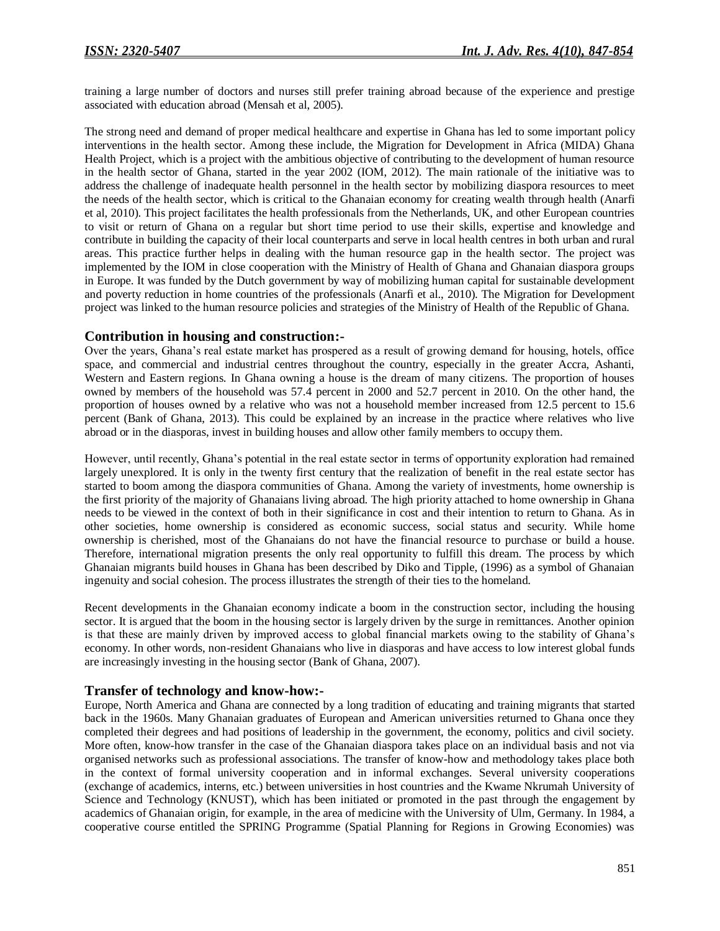training a large number of doctors and nurses still prefer training abroad because of the experience and prestige associated with education abroad (Mensah et al, 2005).

The strong need and demand of proper medical healthcare and expertise in Ghana has led to some important policy interventions in the health sector. Among these include, the Migration for Development in Africa (MIDA) Ghana Health Project, which is a project with the ambitious objective of contributing to the development of human resource in the health sector of Ghana, started in the year 2002 (IOM, 2012). The main rationale of the initiative was to address the challenge of inadequate health personnel in the health sector by mobilizing diaspora resources to meet the needs of the health sector, which is critical to the Ghanaian economy for creating wealth through health (Anarfi et al, 2010). This project facilitates the health professionals from the Netherlands, UK, and other European countries to visit or return of Ghana on a regular but short time period to use their skills, expertise and knowledge and contribute in building the capacity of their local counterparts and serve in local health centres in both urban and rural areas. This practice further helps in dealing with the human resource gap in the health sector. The project was implemented by the IOM in close cooperation with the Ministry of Health of Ghana and Ghanaian diaspora groups in Europe. It was funded by the Dutch government by way of mobilizing human capital for sustainable development and poverty reduction in home countries of the professionals (Anarfi et al., 2010). The Migration for Development project was linked to the human resource policies and strategies of the Ministry of Health of the Republic of Ghana.

### **Contribution in housing and construction:-**

Over the years, Ghana's real estate market has prospered as a result of growing demand for housing, hotels, office space, and commercial and industrial centres throughout the country, especially in the greater Accra, Ashanti, Western and Eastern regions. In Ghana owning a house is the dream of many citizens. The proportion of houses owned by members of the household was 57.4 percent in 2000 and 52.7 percent in 2010. On the other hand, the proportion of houses owned by a relative who was not a household member increased from 12.5 percent to 15.6 percent (Bank of Ghana, 2013). This could be explained by an increase in the practice where relatives who live abroad or in the diasporas, invest in building houses and allow other family members to occupy them.

However, until recently, Ghana's potential in the real estate sector in terms of opportunity exploration had remained largely unexplored. It is only in the twenty first century that the realization of benefit in the real estate sector has started to boom among the diaspora communities of Ghana. Among the variety of investments, home ownership is the first priority of the majority of Ghanaians living abroad. The high priority attached to home ownership in Ghana needs to be viewed in the context of both in their significance in cost and their intention to return to Ghana. As in other societies, home ownership is considered as economic success, social status and security. While home ownership is cherished, most of the Ghanaians do not have the financial resource to purchase or build a house. Therefore, international migration presents the only real opportunity to fulfill this dream. The process by which Ghanaian migrants build houses in Ghana has been described by Diko and Tipple, (1996) as a symbol of Ghanaian ingenuity and social cohesion. The process illustrates the strength of their ties to the homeland.

Recent developments in the Ghanaian economy indicate a boom in the construction sector, including the housing sector. It is argued that the boom in the housing sector is largely driven by the surge in remittances. Another opinion is that these are mainly driven by improved access to global financial markets owing to the stability of Ghana's economy. In other words, non-resident Ghanaians who live in diasporas and have access to low interest global funds are increasingly investing in the housing sector (Bank of Ghana, 2007).

### **Transfer of technology and know-how:-**

Europe, North America and Ghana are connected by a long tradition of educating and training migrants that started back in the 1960s. Many Ghanaian graduates of European and American universities returned to Ghana once they completed their degrees and had positions of leadership in the government, the economy, politics and civil society. More often, know-how transfer in the case of the Ghanaian diaspora takes place on an individual basis and not via organised networks such as professional associations. The transfer of know-how and methodology takes place both in the context of formal university cooperation and in informal exchanges. Several university cooperations (exchange of academics, interns, etc.) between universities in host countries and the Kwame Nkrumah University of Science and Technology (KNUST), which has been initiated or promoted in the past through the engagement by academics of Ghanaian origin, for example, in the area of medicine with the University of Ulm, Germany. In 1984, a cooperative course entitled the SPRING Programme (Spatial Planning for Regions in Growing Economies) was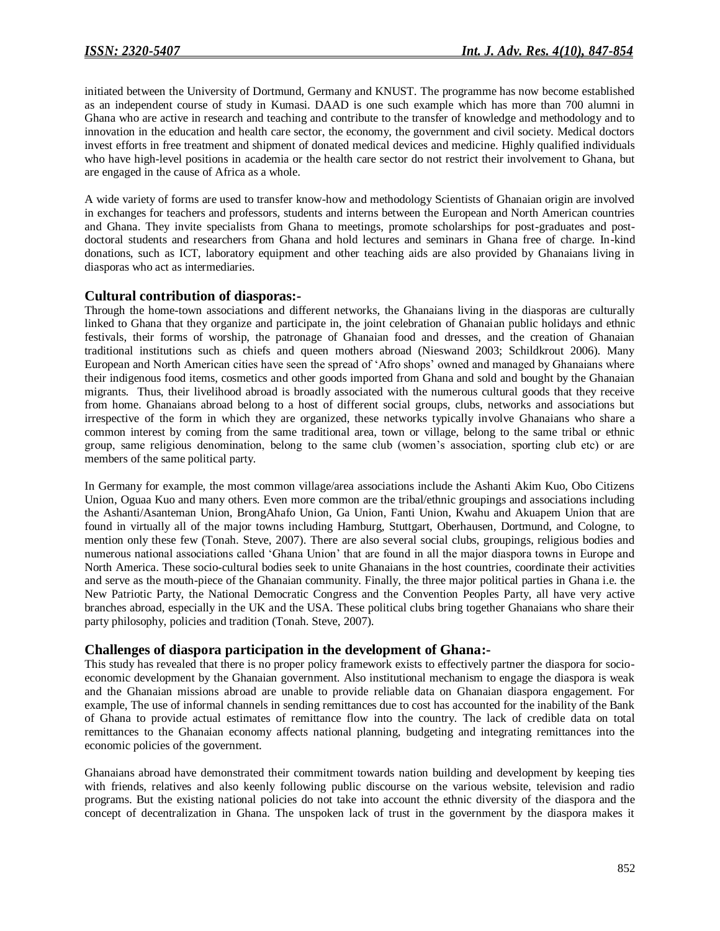initiated between the University of Dortmund, Germany and KNUST. The programme has now become established as an independent course of study in Kumasi. DAAD is one such example which has more than 700 alumni in Ghana who are active in research and teaching and contribute to the transfer of knowledge and methodology and to innovation in the education and health care sector, the economy, the government and civil society. Medical doctors invest efforts in free treatment and shipment of donated medical devices and medicine. Highly qualified individuals who have high-level positions in academia or the health care sector do not restrict their involvement to Ghana, but are engaged in the cause of Africa as a whole.

A wide variety of forms are used to transfer know-how and methodology Scientists of Ghanaian origin are involved in exchanges for teachers and professors, students and interns between the European and North American countries and Ghana. They invite specialists from Ghana to meetings, promote scholarships for post-graduates and postdoctoral students and researchers from Ghana and hold lectures and seminars in Ghana free of charge. In-kind donations, such as ICT, laboratory equipment and other teaching aids are also provided by Ghanaians living in diasporas who act as intermediaries.

### **Cultural contribution of diasporas:-**

Through the home-town associations and different networks, the Ghanaians living in the diasporas are culturally linked to Ghana that they organize and participate in, the joint celebration of Ghanaian public holidays and ethnic festivals, their forms of worship, the patronage of Ghanaian food and dresses, and the creation of Ghanaian traditional institutions such as chiefs and queen mothers abroad (Nieswand 2003; Schildkrout 2006). Many European and North American cities have seen the spread of 'Afro shops' owned and managed by Ghanaians where their indigenous food items, cosmetics and other goods imported from Ghana and sold and bought by the Ghanaian migrants. Thus, their livelihood abroad is broadly associated with the numerous cultural goods that they receive from home. Ghanaians abroad belong to a host of different social groups, clubs, networks and associations but irrespective of the form in which they are organized, these networks typically involve Ghanaians who share a common interest by coming from the same traditional area, town or village, belong to the same tribal or ethnic group, same religious denomination, belong to the same club (women's association, sporting club etc) or are members of the same political party.

In Germany for example, the most common village/area associations include the Ashanti Akim Kuo, Obo Citizens Union, Oguaa Kuo and many others. Even more common are the tribal/ethnic groupings and associations including the Ashanti/Asanteman Union, BrongAhafo Union, Ga Union, Fanti Union, Kwahu and Akuapem Union that are found in virtually all of the major towns including Hamburg, Stuttgart, Oberhausen, Dortmund, and Cologne, to mention only these few (Tonah. Steve, 2007). There are also several social clubs, groupings, religious bodies and numerous national associations called 'Ghana Union' that are found in all the major diaspora towns in Europe and North America. These socio-cultural bodies seek to unite Ghanaians in the host countries, coordinate their activities and serve as the mouth-piece of the Ghanaian community. Finally, the three major political parties in Ghana i.e. the New Patriotic Party, the National Democratic Congress and the Convention Peoples Party, all have very active branches abroad, especially in the UK and the USA. These political clubs bring together Ghanaians who share their party philosophy, policies and tradition (Tonah. Steve, 2007).

### **Challenges of diaspora participation in the development of Ghana:-**

This study has revealed that there is no proper policy framework exists to effectively partner the diaspora for socioeconomic development by the Ghanaian government. Also institutional mechanism to engage the diaspora is weak and the Ghanaian missions abroad are unable to provide reliable data on Ghanaian diaspora engagement. For example, The use of informal channels in sending remittances due to cost has accounted for the inability of the Bank of Ghana to provide actual estimates of remittance flow into the country. The lack of credible data on total remittances to the Ghanaian economy affects national planning, budgeting and integrating remittances into the economic policies of the government.

Ghanaians abroad have demonstrated their commitment towards nation building and development by keeping ties with friends, relatives and also keenly following public discourse on the various website, television and radio programs. But the existing national policies do not take into account the ethnic diversity of the diaspora and the concept of decentralization in Ghana. The unspoken lack of trust in the government by the diaspora makes it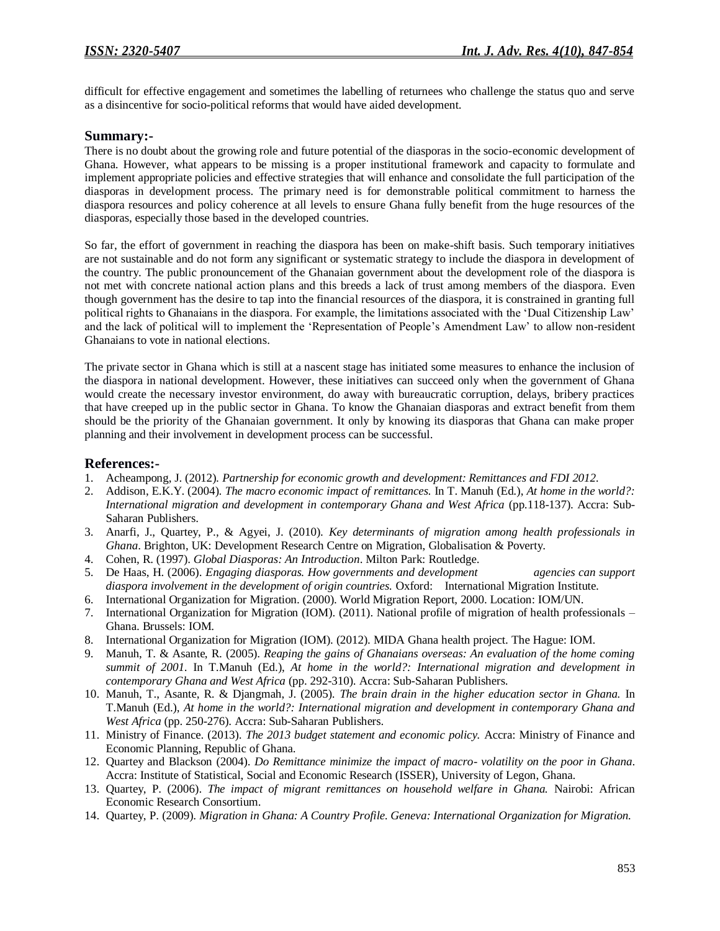difficult for effective engagement and sometimes the labelling of returnees who challenge the status quo and serve as a disincentive for socio-political reforms that would have aided development.

### **Summary:-**

There is no doubt about the growing role and future potential of the diasporas in the socio-economic development of Ghana. However, what appears to be missing is a proper institutional framework and capacity to formulate and implement appropriate policies and effective strategies that will enhance and consolidate the full participation of the diasporas in development process. The primary need is for demonstrable political commitment to harness the diaspora resources and policy coherence at all levels to ensure Ghana fully benefit from the huge resources of the diasporas, especially those based in the developed countries.

So far, the effort of government in reaching the diaspora has been on make-shift basis. Such temporary initiatives are not sustainable and do not form any significant or systematic strategy to include the diaspora in development of the country. The public pronouncement of the Ghanaian government about the development role of the diaspora is not met with concrete national action plans and this breeds a lack of trust among members of the diaspora. Even though government has the desire to tap into the financial resources of the diaspora, it is constrained in granting full political rights to Ghanaians in the diaspora. For example, the limitations associated with the 'Dual Citizenship Law' and the lack of political will to implement the 'Representation of People's Amendment Law' to allow non-resident Ghanaians to vote in national elections.

The private sector in Ghana which is still at a nascent stage has initiated some measures to enhance the inclusion of the diaspora in national development. However, these initiatives can succeed only when the government of Ghana would create the necessary investor environment, do away with bureaucratic corruption, delays, bribery practices that have creeped up in the public sector in Ghana. To know the Ghanaian diasporas and extract benefit from them should be the priority of the Ghanaian government. It only by knowing its diasporas that Ghana can make proper planning and their involvement in development process can be successful.

### **References:-**

- 1. Acheampong, J. (2012). *Partnership for economic growth and development: Remittances and FDI 2012.*
- 2. Addison, E.K.Y. (2004). *The macro economic impact of remittances.* In T. Manuh (Ed.), *At home in the world?: International migration and development in contemporary Ghana and West Africa* (pp.118-137). Accra: Sub-Saharan Publishers.
- 3. Anarfi, J., Quartey, P., & Agyei, J. (2010). *Key determinants of migration among health professionals in Ghana*. Brighton, UK: Development Research Centre on Migration, Globalisation & Poverty.
- 4. Cohen, R. (1997). *Global Diasporas: An Introduction*. Milton Park: Routledge.
- 5. De Haas, H. (2006). *Engaging diasporas. How governments and development agencies can support diaspora involvement in the development of origin countries.* Oxford: International Migration Institute.
- 6. International Organization for Migration. (2000). World Migration Report, 2000. Location: IOM/UN.
- 7. International Organization for Migration (IOM). (2011). National profile of migration of health professionals Ghana. Brussels: IOM.
- 8. International Organization for Migration (IOM). (2012). MIDA Ghana health project. The Hague: IOM.
- 9. Manuh, T. & Asante, R. (2005). *Reaping the gains of Ghanaians overseas: An evaluation of the home coming summit of 2001*. In T.Manuh (Ed.), *At home in the world?: International migration and development in contemporary Ghana and West Africa* (pp. 292-310). Accra: Sub-Saharan Publishers.
- 10. Manuh, T., Asante, R. & Djangmah, J. (2005). *The brain drain in the higher education sector in Ghana.* In T.Manuh (Ed.), *At home in the world?: International migration and development in contemporary Ghana and West Africa* (pp. 250-276). Accra: Sub-Saharan Publishers.
- 11. Ministry of Finance. (2013). *The 2013 budget statement and economic policy.* Accra: Ministry of Finance and Economic Planning, Republic of Ghana.
- 12. Quartey and Blackson (2004). *Do Remittance minimize the impact of macro- volatility on the poor in Ghana*. Accra: Institute of Statistical, Social and Economic Research (ISSER), University of Legon, Ghana.
- 13. Quartey, P. (2006). *The impact of migrant remittances on household welfare in Ghana.* Nairobi: African Economic Research Consortium.
- 14. Quartey, P. (2009). *Migration in Ghana: A Country Profile. Geneva: International Organization for Migration.*